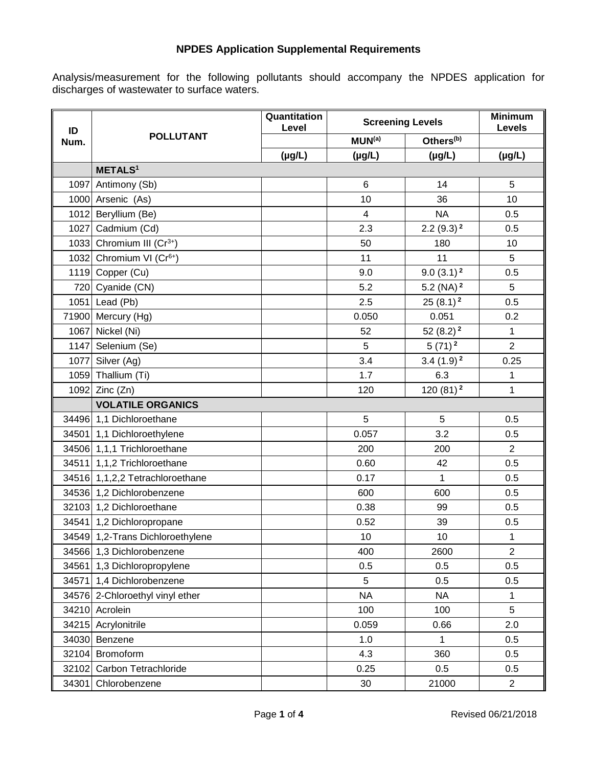## **NPDES Application Supplemental Requirements**

Analysis/measurement for the following pollutants should accompany the NPDES application for discharges of wastewater to surface waters.

| ID<br>Num. | <b>POLLUTANT</b>                     | Quantitation<br><b>Screening Levels</b><br>Level |                          |                       | <b>Minimum</b><br>Levels |
|------------|--------------------------------------|--------------------------------------------------|--------------------------|-----------------------|--------------------------|
|            |                                      |                                                  | MUN <sup>(a)</sup>       | Others <sup>(b)</sup> |                          |
|            |                                      | $(\mu g/L)$                                      | $(\mu g/L)$              | $(\mu g/L)$           | $(\mu g/L)$              |
|            | <b>METALS<sup>1</sup></b>            |                                                  |                          |                       |                          |
| 1097       | Antimony (Sb)                        |                                                  | 6                        | 14                    | 5                        |
|            | 1000 Arsenic (As)                    |                                                  | 10                       | 36                    | 10                       |
|            | 1012 Beryllium (Be)                  |                                                  | $\overline{\mathcal{A}}$ | <b>NA</b>             | 0.5                      |
| 1027       | Cadmium (Cd)                         |                                                  | 2.3                      | $2.2(9.3)^2$          | 0.5                      |
|            | 1033 Chromium III ( $Cr^{3+}$ )      |                                                  | 50                       | 180                   | 10                       |
|            | 1032 Chromium VI (Cr <sup>6+</sup> ) |                                                  | 11                       | 11                    | 5                        |
|            | 1119 Copper (Cu)                     |                                                  | 9.0                      | $9.0(3.1)^2$          | 0.5                      |
|            | 720 Cyanide (CN)                     |                                                  | 5.2                      | 5.2 (NA) $^2$         | 5                        |
|            | 1051 Lead (Pb)                       |                                                  | 2.5                      | $25(8.1)^2$           | 0.5                      |
|            | 71900 Mercury (Hg)                   |                                                  | 0.050                    | 0.051                 | 0.2                      |
| 1067       | Nickel (Ni)                          |                                                  | 52                       | 52 $(8.2)^2$          | $\mathbf{1}$             |
|            | 1147 Selenium (Se)                   |                                                  | 5                        | $5(71)^2$             | $\overline{2}$           |
|            | 1077 Silver (Ag)                     |                                                  | 3.4                      | $3.4(1.9)^2$          | 0.25                     |
|            | 1059 Thallium (Ti)                   |                                                  | 1.7                      | 6.3                   | 1                        |
|            | 1092 Zinc (Zn)                       |                                                  | 120                      | $120(81)^2$           | 1                        |
|            | <b>VOLATILE ORGANICS</b>             |                                                  |                          |                       |                          |
|            | 34496 1,1 Dichloroethane             |                                                  | 5                        | 5                     | 0.5                      |
|            | 34501 1,1 Dichloroethylene           |                                                  | 0.057                    | 3.2                   | 0.5                      |
|            | 34506 1,1,1 Trichloroethane          |                                                  | 200                      | 200                   | $\overline{2}$           |
|            | 34511 1,1,2 Trichloroethane          |                                                  | 0.60                     | 42                    | 0.5                      |
|            | 34516 1,1,2,2 Tetrachloroethane      |                                                  | 0.17                     | $\mathbf{1}$          | 0.5                      |
|            | 34536 1,2 Dichlorobenzene            |                                                  | 600                      | 600                   | 0.5                      |
|            | 32103 1,2 Dichloroethane             |                                                  | 0.38                     | 99                    | 0.5                      |
|            | 34541 1,2 Dichloropropane            |                                                  | 0.52                     | 39                    | 0.5                      |
|            | 34549 1,2-Trans Dichloroethylene     |                                                  | 10                       | 10                    | $\mathbf{1}$             |
|            | 34566 1,3 Dichlorobenzene            |                                                  | 400                      | 2600                  | $\overline{2}$           |
|            | 34561 1,3 Dichloropropylene          |                                                  | 0.5                      | 0.5                   | 0.5                      |
| 34571      | 1,4 Dichlorobenzene                  |                                                  | 5                        | 0.5                   | 0.5                      |
|            | 34576 2-Chloroethyl vinyl ether      |                                                  | <b>NA</b>                | <b>NA</b>             | 1                        |
|            | 34210 Acrolein                       |                                                  | 100                      | 100                   | 5                        |
|            | 34215 Acrylonitrile                  |                                                  | 0.059                    | 0.66                  | 2.0                      |
|            | 34030 Benzene                        |                                                  | 1.0                      | 1                     | 0.5                      |
|            | 32104 Bromoform                      |                                                  | 4.3                      | 360                   | 0.5                      |
|            | 32102 Carbon Tetrachloride           |                                                  | 0.25                     | 0.5                   | 0.5                      |
|            | 34301 Chlorobenzene                  |                                                  | 30                       | 21000                 | $\overline{2}$           |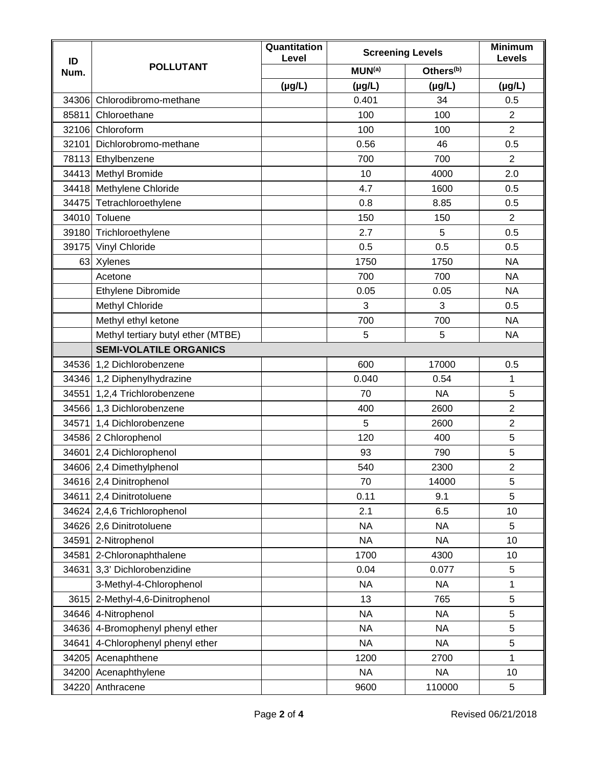| ID<br>Num. | <b>POLLUTANT</b>                   | Quantitation<br>Level |                    | <b>Screening Levels</b> |                |
|------------|------------------------------------|-----------------------|--------------------|-------------------------|----------------|
|            |                                    |                       | MUN <sup>(a)</sup> | Others <sup>(b)</sup>   | Levels         |
|            |                                    | $(\mu g/L)$           | $(\mu g/L)$        | $(\mu g/L)$             | $(\mu g/L)$    |
| 34306      | Chlorodibromo-methane              |                       | 0.401              | 34                      | 0.5            |
| 85811      | Chloroethane                       |                       | 100                | 100                     | $\overline{2}$ |
|            | 32106 Chloroform                   |                       | 100                | 100                     | $\overline{2}$ |
| 32101      | Dichlorobromo-methane              |                       | 0.56               | 46                      | 0.5            |
|            | 78113 Ethylbenzene                 |                       | 700                | 700                     | $\overline{2}$ |
|            | 34413 Methyl Bromide               |                       | 10                 | 4000                    | 2.0            |
|            | 34418 Methylene Chloride           |                       | 4.7                | 1600                    | 0.5            |
| 34475      | Tetrachloroethylene                |                       | 0.8                | 8.85                    | 0.5            |
|            | 34010 Toluene                      |                       | 150                | 150                     | $\overline{2}$ |
|            | 39180 Trichloroethylene            |                       | 2.7                | 5                       | 0.5            |
|            | 39175 Vinyl Chloride               |                       | 0.5                | 0.5                     | 0.5            |
|            | 63 Xylenes                         |                       | 1750               | 1750                    | <b>NA</b>      |
|            | Acetone                            |                       | 700                | 700                     | <b>NA</b>      |
|            | Ethylene Dibromide                 |                       | 0.05               | 0.05                    | <b>NA</b>      |
|            | Methyl Chloride                    |                       | 3                  | 3                       | 0.5            |
|            | Methyl ethyl ketone                |                       | 700                | 700                     | <b>NA</b>      |
|            | Methyl tertiary butyl ether (MTBE) |                       | 5                  | 5                       | <b>NA</b>      |
|            | <b>SEMI-VOLATILE ORGANICS</b>      |                       |                    |                         |                |
|            | 34536 1,2 Dichlorobenzene          |                       | 600                | 17000                   | 0.5            |
|            | 34346 1,2 Diphenylhydrazine        |                       | 0.040              | 0.54                    | 1              |
| 34551      | 1,2,4 Trichlorobenzene             |                       | 70                 | <b>NA</b>               | 5              |
|            | 34566 1,3 Dichlorobenzene          |                       | 400                | 2600                    | $\overline{2}$ |
| 34571      | 1,4 Dichlorobenzene                |                       | 5                  | 2600                    | $\overline{2}$ |
|            | 34586 2 Chlorophenol               |                       | 120                | 400                     | 5              |
|            | 34601 2,4 Dichlorophenol           |                       | 93                 | 790                     | 5              |
|            | 34606 2,4 Dimethylphenol           |                       | 540                | 2300                    | $\overline{2}$ |
|            | 34616 2,4 Dinitrophenol            |                       | 70                 | 14000                   | 5              |
| 34611      | 2,4 Dinitrotoluene                 |                       | 0.11               | 9.1                     | 5              |
|            | 34624 2,4,6 Trichlorophenol        |                       | 2.1                | 6.5                     | 10             |
|            | 34626 2,6 Dinitrotoluene           |                       | <b>NA</b>          | <b>NA</b>               | 5              |
| 34591      | 2-Nitrophenol                      |                       | <b>NA</b>          | <b>NA</b>               | 10             |
| 34581      | 2-Chloronaphthalene                |                       | 1700               | 4300                    | 10             |
| 34631      | 3,3' Dichlorobenzidine             |                       | 0.04               | 0.077                   | 5              |
|            | 3-Methyl-4-Chlorophenol            |                       | <b>NA</b>          | <b>NA</b>               | 1              |
| 3615       | 2-Methyl-4,6-Dinitrophenol         |                       | 13                 | 765                     | 5              |
|            | 34646 4-Nitrophenol                |                       | <b>NA</b>          | <b>NA</b>               | 5              |
| 34636      | 4-Bromophenyl phenyl ether         |                       | <b>NA</b>          | <b>NA</b>               | 5              |
| 34641      | 4-Chlorophenyl phenyl ether        |                       | <b>NA</b>          | <b>NA</b>               | 5              |
|            | 34205 Acenaphthene                 |                       | 1200               | 2700                    | 1              |
|            | 34200 Acenaphthylene               |                       | <b>NA</b>          | <b>NA</b>               | 10             |
| 34220      | Anthracene                         |                       | 9600               | 110000                  | 5              |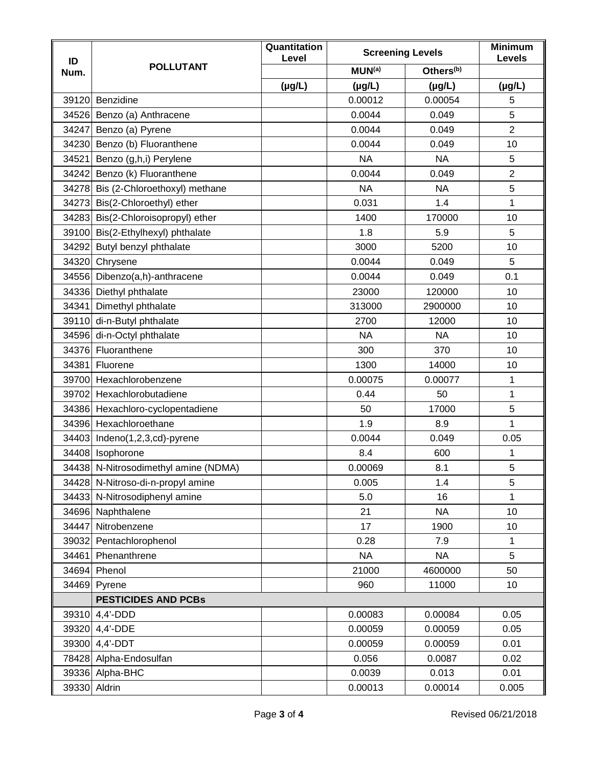| ID<br>Num. | <b>POLLUTANT</b>                     | Quantitation<br>Level | <b>Screening Levels</b> |                       | <b>Minimum</b><br>Levels |
|------------|--------------------------------------|-----------------------|-------------------------|-----------------------|--------------------------|
|            |                                      |                       | MUN <sup>(a)</sup>      | Others <sup>(b)</sup> |                          |
|            |                                      | $(\mu g/L)$           | $(\mu g/L)$             | $(\mu g/L)$           | $(\mu g/L)$              |
|            | 39120 Benzidine                      |                       | 0.00012                 | 0.00054               | 5                        |
|            | 34526 Benzo (a) Anthracene           |                       | 0.0044                  | 0.049                 | 5                        |
|            | 34247 Benzo (a) Pyrene               |                       | 0.0044                  | 0.049                 | $\overline{2}$           |
| 34230      | Benzo (b) Fluoranthene               |                       | 0.0044                  | 0.049                 | 10                       |
| 34521      | Benzo (g,h,i) Perylene               |                       | <b>NA</b>               | <b>NA</b>             | 5                        |
|            | 34242 Benzo (k) Fluoranthene         |                       | 0.0044                  | 0.049                 | $\overline{2}$           |
|            | 34278 Bis (2-Chloroethoxyl) methane  |                       | <b>NA</b>               | <b>NA</b>             | 5                        |
|            | 34273 Bis(2-Chloroethyl) ether       |                       | 0.031                   | 1.4                   | $\mathbf{1}$             |
|            | 34283 Bis(2-Chloroisopropyl) ether   |                       | 1400                    | 170000                | 10                       |
|            | 39100 Bis(2-Ethylhexyl) phthalate    |                       | 1.8                     | 5.9                   | 5                        |
|            | 34292 Butyl benzyl phthalate         |                       | 3000                    | 5200                  | 10                       |
|            | 34320 Chrysene                       |                       | 0.0044                  | 0.049                 | 5                        |
|            | 34556 Dibenzo(a,h)-anthracene        |                       | 0.0044                  | 0.049                 | 0.1                      |
|            | 34336 Diethyl phthalate              |                       | 23000                   | 120000                | 10                       |
| 34341      | Dimethyl phthalate                   |                       | 313000                  | 2900000               | 10                       |
| 39110      | di-n-Butyl phthalate                 |                       | 2700                    | 12000                 | 10                       |
|            | 34596 di-n-Octyl phthalate           |                       | <b>NA</b>               | <b>NA</b>             | 10                       |
|            | 34376 Fluoranthene                   |                       | 300                     | 370                   | 10                       |
| 34381      | Fluorene                             |                       | 1300                    | 14000                 | 10                       |
|            | 39700 Hexachlorobenzene              |                       | 0.00075                 | 0.00077               | 1                        |
|            | 39702 Hexachlorobutadiene            |                       | 0.44                    | 50                    | $\mathbf{1}$             |
|            | 34386 Hexachloro-cyclopentadiene     |                       | 50                      | 17000                 | 5                        |
|            | 34396 Hexachloroethane               |                       | 1.9                     | 8.9                   | 1                        |
|            | 34403 Indeno(1,2,3,cd)-pyrene        |                       | 0.0044                  | 0.049                 | 0.05                     |
|            | 34408 Isophorone                     |                       | 8.4                     | 600                   | 1                        |
|            | 34438 N-Nitrosodimethyl amine (NDMA) |                       | 0.00069                 | 8.1                   | 5                        |
|            | 34428 N-Nitroso-di-n-propyl amine    |                       | 0.005                   | 1.4                   | 5                        |
|            | 34433 N-Nitrosodiphenyl amine        |                       | 5.0                     | 16                    | 1                        |
| 34696      | Naphthalene                          |                       | 21                      | <b>NA</b>             | 10                       |
| 34447      | Nitrobenzene                         |                       | 17                      | 1900                  | 10                       |
| 39032      | Pentachlorophenol                    |                       | 0.28                    | 7.9                   | $\mathbf{1}$             |
| 34461      | Phenanthrene                         |                       | <b>NA</b>               | <b>NA</b>             | 5                        |
| 34694      | Phenol                               |                       | 21000                   | 4600000               | 50                       |
| 34469      | Pyrene                               |                       | 960                     | 11000                 | 10                       |
|            | <b>PESTICIDES AND PCBs</b>           |                       |                         |                       |                          |
| 39310      | $4,4'$ -DDD                          |                       | 0.00083                 | 0.00084               | 0.05                     |
| 39320      | 4,4'-DDE                             |                       | 0.00059                 | 0.00059               | 0.05                     |
|            | 39300 4,4'-DDT                       |                       | 0.00059                 | 0.00059               | 0.01                     |
|            | 78428 Alpha-Endosulfan               |                       | 0.056                   | 0.0087                | 0.02                     |
|            | 39336 Alpha-BHC                      |                       | 0.0039                  | 0.013                 | 0.01                     |
|            | 39330 Aldrin                         |                       | 0.00013                 | 0.00014               | 0.005                    |